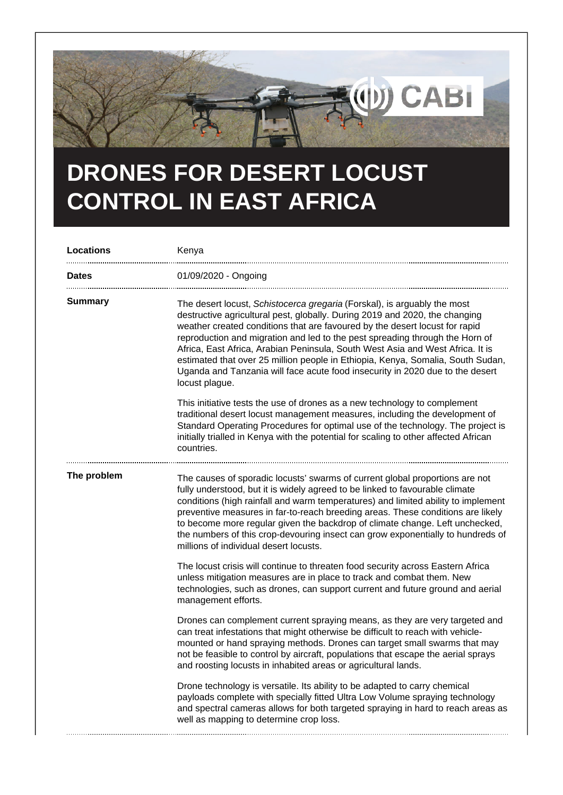

## **DRONES FOR DESERT LOCUST CONTROL IN EAST AFRICA**

| Locations    | Kenya                                                                                                                                                                                                                                                                                                                                                                                                                                                                                                                                                                                          |
|--------------|------------------------------------------------------------------------------------------------------------------------------------------------------------------------------------------------------------------------------------------------------------------------------------------------------------------------------------------------------------------------------------------------------------------------------------------------------------------------------------------------------------------------------------------------------------------------------------------------|
| <b>Dates</b> | 01/09/2020 - Ongoing                                                                                                                                                                                                                                                                                                                                                                                                                                                                                                                                                                           |
| Summary      | The desert locust, Schistocerca gregaria (Forskal), is arguably the most<br>destructive agricultural pest, globally. During 2019 and 2020, the changing<br>weather created conditions that are favoured by the desert locust for rapid<br>reproduction and migration and led to the pest spreading through the Horn of<br>Africa, East Africa, Arabian Peninsula, South West Asia and West Africa. It is<br>estimated that over 25 million people in Ethiopia, Kenya, Somalia, South Sudan,<br>Uganda and Tanzania will face acute food insecurity in 2020 due to the desert<br>locust plague. |
|              | This initiative tests the use of drones as a new technology to complement<br>traditional desert locust management measures, including the development of<br>Standard Operating Procedures for optimal use of the technology. The project is<br>initially trialled in Kenya with the potential for scaling to other affected African<br>countries.                                                                                                                                                                                                                                              |
| The problem  | The causes of sporadic locusts' swarms of current global proportions are not<br>fully understood, but it is widely agreed to be linked to favourable climate<br>conditions (high rainfall and warm temperatures) and limited ability to implement<br>preventive measures in far-to-reach breeding areas. These conditions are likely<br>to become more regular given the backdrop of climate change. Left unchecked,<br>the numbers of this crop-devouring insect can grow exponentially to hundreds of<br>millions of individual desert locusts.                                              |
|              | The locust crisis will continue to threaten food security across Eastern Africa<br>unless mitigation measures are in place to track and combat them. New<br>technologies, such as drones, can support current and future ground and aerial<br>management efforts.                                                                                                                                                                                                                                                                                                                              |
|              | Drones can complement current spraying means, as they are very targeted and<br>can treat infestations that might otherwise be difficult to reach with vehicle-<br>mounted or hand spraying methods. Drones can target small swarms that may<br>not be feasible to control by aircraft, populations that escape the aerial sprays<br>and roosting locusts in inhabited areas or agricultural lands.                                                                                                                                                                                             |
|              | Drone technology is versatile. Its ability to be adapted to carry chemical<br>payloads complete with specially fitted Ultra Low Volume spraying technology<br>and spectral cameras allows for both targeted spraying in hard to reach areas as<br>well as mapping to determine crop loss.                                                                                                                                                                                                                                                                                                      |